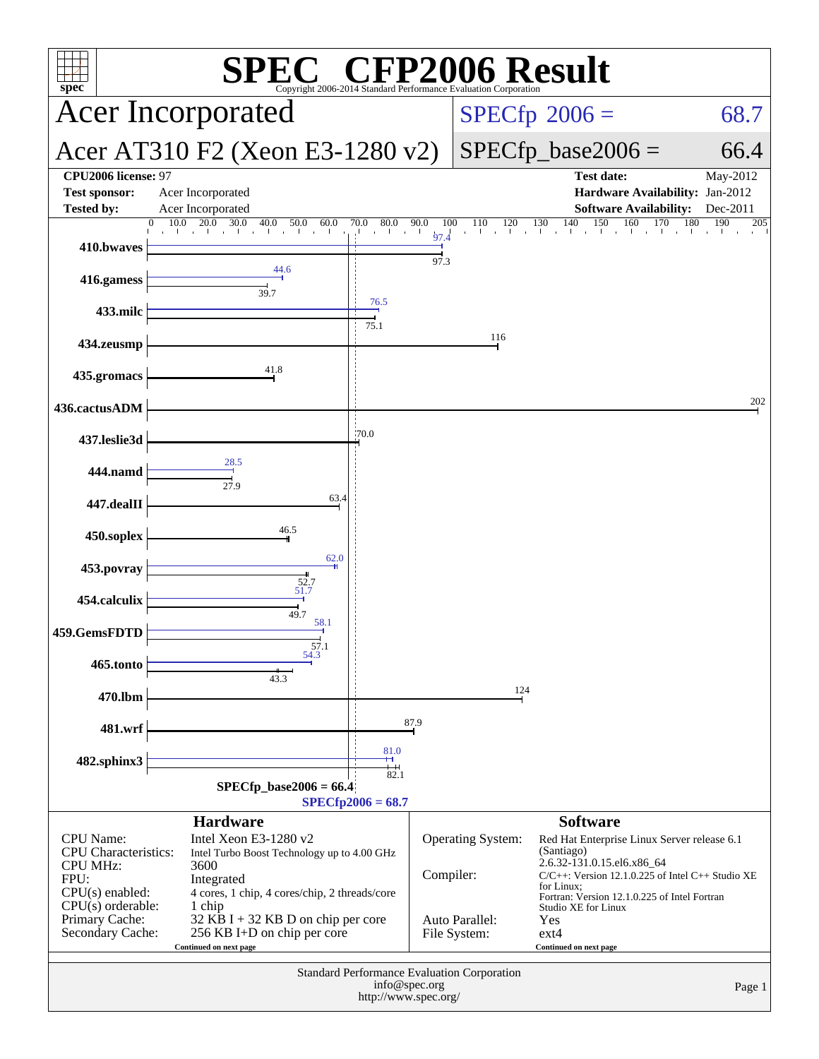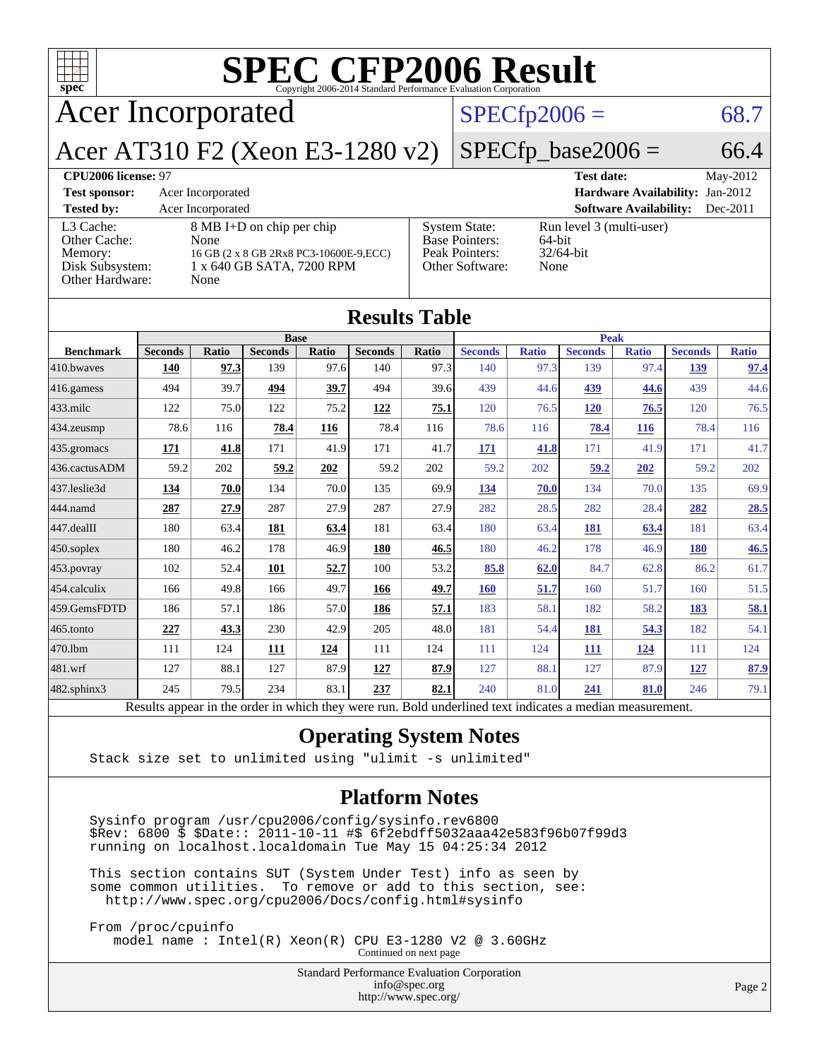

#### **[Operating System Notes](http://www.spec.org/auto/cpu2006/Docs/result-fields.html#OperatingSystemNotes)**

Stack size set to unlimited using "ulimit -s unlimited"

#### **[Platform Notes](http://www.spec.org/auto/cpu2006/Docs/result-fields.html#PlatformNotes)**

 Sysinfo program /usr/cpu2006/config/sysinfo.rev6800 \$Rev: 6800 \$ \$Date:: 2011-10-11 #\$ 6f2ebdff5032aaa42e583f96b07f99d3 running on localhost.localdomain Tue May 15 04:25:34 2012

 This section contains SUT (System Under Test) info as seen by some common utilities. To remove or add to this section, see: <http://www.spec.org/cpu2006/Docs/config.html#sysinfo>

 From /proc/cpuinfo model name : Intel(R) Xeon(R) CPU E3-1280 V2 @ 3.60GHz

Continued on next page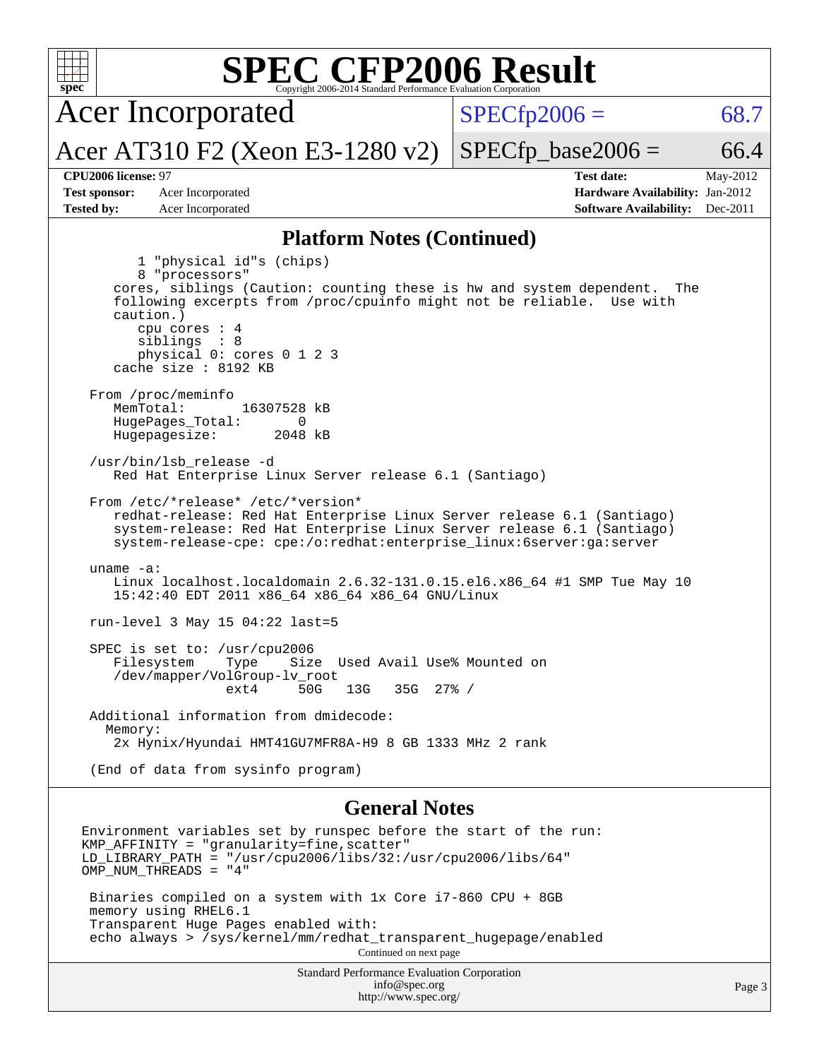| $spec^*$                                                         | <b>SPEC CFP2006 Result</b><br>Copyright 2006-2014 Standard Performance Evaluation Corporation                                                                                                                                                                                                                                                                                                                                                                                                                                                                                                                                                                                                                  |                      |                                                                                                            |  |  |  |  |
|------------------------------------------------------------------|----------------------------------------------------------------------------------------------------------------------------------------------------------------------------------------------------------------------------------------------------------------------------------------------------------------------------------------------------------------------------------------------------------------------------------------------------------------------------------------------------------------------------------------------------------------------------------------------------------------------------------------------------------------------------------------------------------------|----------------------|------------------------------------------------------------------------------------------------------------|--|--|--|--|
|                                                                  | <b>Acer Incorporated</b>                                                                                                                                                                                                                                                                                                                                                                                                                                                                                                                                                                                                                                                                                       | $SPECfp2006 =$       | 68.7                                                                                                       |  |  |  |  |
|                                                                  | Acer AT310 F2 (Xeon E3-1280 v2)                                                                                                                                                                                                                                                                                                                                                                                                                                                                                                                                                                                                                                                                                | $SPECfp\_base2006 =$ | 66.4                                                                                                       |  |  |  |  |
| CPU2006 license: 97<br><b>Test sponsor:</b><br><b>Tested by:</b> | Acer Incorporated<br>Acer Incorporated                                                                                                                                                                                                                                                                                                                                                                                                                                                                                                                                                                                                                                                                         |                      | <b>Test date:</b><br>May-2012<br>Hardware Availability: Jan-2012<br><b>Software Availability:</b> Dec-2011 |  |  |  |  |
|                                                                  | <b>Platform Notes (Continued)</b>                                                                                                                                                                                                                                                                                                                                                                                                                                                                                                                                                                                                                                                                              |                      |                                                                                                            |  |  |  |  |
| caution.)<br>From /proc/meminfo<br>MemTotal:                     | 1 "physical id"s (chips)<br>8 "processors"<br>cores, siblings (Caution: counting these is hw and system dependent.<br>following excerpts from /proc/cpuinfo might not be reliable. Use with<br>cpu cores $: 4$<br>siblings : 8<br>physical 0: cores 0 1 2 3<br>cache size : 8192 KB<br>16307528 kB<br>HugePages_Total:<br>0<br>Hugepagesize:<br>2048 kB<br>/usr/bin/lsb release -d<br>Red Hat Enterprise Linux Server release 6.1 (Santiago)<br>From /etc/*release* /etc/*version*<br>redhat-release: Red Hat Enterprise Linux Server release 6.1 (Santiago)<br>system-release: Red Hat Enterprise Linux Server release 6.1 (Santiago)<br>system-release-cpe: cpe:/o:redhat:enterprise_linux:6server:ga:server |                      | The                                                                                                        |  |  |  |  |
| uname $-a$ :                                                     | Linux localhost.localdomain 2.6.32-131.0.15.el6.x86_64 #1 SMP Tue May 10<br>15:42:40 EDT 2011 x86_64 x86_64 x86_64 GNU/Linux                                                                                                                                                                                                                                                                                                                                                                                                                                                                                                                                                                                   |                      |                                                                                                            |  |  |  |  |
|                                                                  | run-level 3 May 15 04:22 last=5                                                                                                                                                                                                                                                                                                                                                                                                                                                                                                                                                                                                                                                                                |                      |                                                                                                            |  |  |  |  |
| Filesystem                                                       | SPEC is set to: /usr/cpu2006<br>Size Used Avail Use% Mounted on<br>Type<br>/dev/mapper/VolGroup-lv_root<br>50G<br>$ext{4}$<br>13G<br>$35G$ $27\%$ /                                                                                                                                                                                                                                                                                                                                                                                                                                                                                                                                                            |                      |                                                                                                            |  |  |  |  |
| Memory:                                                          | Additional information from dmidecode:<br>2x Hynix/Hyundai HMT41GU7MFR8A-H9 8 GB 1333 MHz 2 rank                                                                                                                                                                                                                                                                                                                                                                                                                                                                                                                                                                                                               |                      |                                                                                                            |  |  |  |  |
|                                                                  | (End of data from sysinfo program)                                                                                                                                                                                                                                                                                                                                                                                                                                                                                                                                                                                                                                                                             |                      |                                                                                                            |  |  |  |  |
|                                                                  | <b>General Notes</b>                                                                                                                                                                                                                                                                                                                                                                                                                                                                                                                                                                                                                                                                                           |                      |                                                                                                            |  |  |  |  |
|                                                                  | Environment variables set by runspec before the start of the run:<br>KMP_AFFINITY = "granularity=fine, scatter"<br>$LD_LIBRRRY_PATH = "/usr/cpu2006/libs/32:/usr/cpu2006/libs/64"$<br>OMP_NUM_THREADS = "4"                                                                                                                                                                                                                                                                                                                                                                                                                                                                                                    |                      |                                                                                                            |  |  |  |  |
|                                                                  | Binaries compiled on a system with 1x Core i7-860 CPU + 8GB<br>memory using RHEL6.1                                                                                                                                                                                                                                                                                                                                                                                                                                                                                                                                                                                                                            |                      |                                                                                                            |  |  |  |  |

 Transparent Huge Pages enabled with: echo always > /sys/kernel/mm/redhat\_transparent\_hugepage/enabled Continued on next page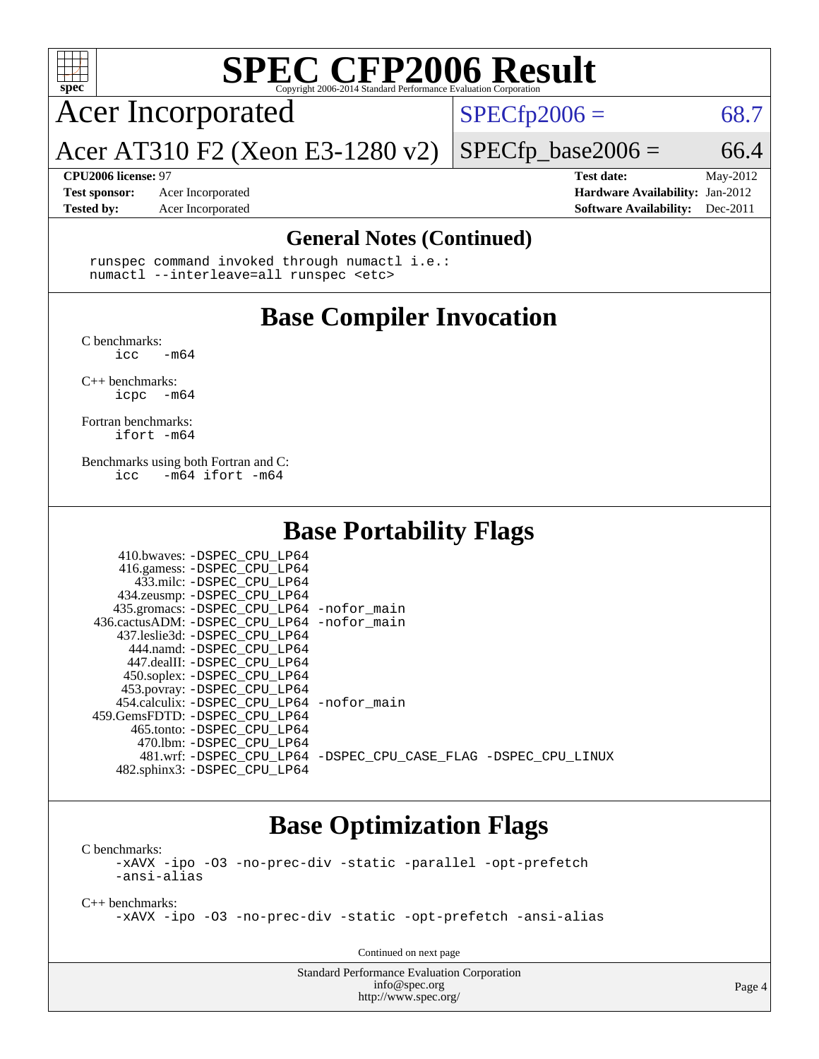

# **[SPEC CFP2006 Result](http://www.spec.org/auto/cpu2006/Docs/result-fields.html#SPECCFP2006Result)**

Acer Incorporated

 $SPECTp2006 = 68.7$ 

Acer AT310 F2 (Xeon E3-1280 v2)

**[CPU2006 license:](http://www.spec.org/auto/cpu2006/Docs/result-fields.html#CPU2006license)** 97 **[Test date:](http://www.spec.org/auto/cpu2006/Docs/result-fields.html#Testdate)** May-2012 **[Test sponsor:](http://www.spec.org/auto/cpu2006/Docs/result-fields.html#Testsponsor)** Acer Incorporated **[Hardware Availability:](http://www.spec.org/auto/cpu2006/Docs/result-fields.html#HardwareAvailability)** Jan-2012 **[Tested by:](http://www.spec.org/auto/cpu2006/Docs/result-fields.html#Testedby)** Acer Incorporated **[Software Availability:](http://www.spec.org/auto/cpu2006/Docs/result-fields.html#SoftwareAvailability)** Dec-2011

 $SPECfp\_base2006 = 66.4$ 

#### **[General Notes \(Continued\)](http://www.spec.org/auto/cpu2006/Docs/result-fields.html#GeneralNotes)**

 runspec command invoked through numactl i.e.: numactl --interleave=all runspec <etc>

## **[Base Compiler Invocation](http://www.spec.org/auto/cpu2006/Docs/result-fields.html#BaseCompilerInvocation)**

[C benchmarks](http://www.spec.org/auto/cpu2006/Docs/result-fields.html#Cbenchmarks):  $\frac{1}{2}$ cc  $-\text{m64}$ 

[C++ benchmarks:](http://www.spec.org/auto/cpu2006/Docs/result-fields.html#CXXbenchmarks) [icpc -m64](http://www.spec.org/cpu2006/results/res2012q3/cpu2006-20120611-22849.flags.html#user_CXXbase_intel_icpc_64bit_bedb90c1146cab66620883ef4f41a67e)

[Fortran benchmarks](http://www.spec.org/auto/cpu2006/Docs/result-fields.html#Fortranbenchmarks): [ifort -m64](http://www.spec.org/cpu2006/results/res2012q3/cpu2006-20120611-22849.flags.html#user_FCbase_intel_ifort_64bit_ee9d0fb25645d0210d97eb0527dcc06e)

[Benchmarks using both Fortran and C](http://www.spec.org/auto/cpu2006/Docs/result-fields.html#BenchmarksusingbothFortranandC): [icc -m64](http://www.spec.org/cpu2006/results/res2012q3/cpu2006-20120611-22849.flags.html#user_CC_FCbase_intel_icc_64bit_0b7121f5ab7cfabee23d88897260401c) [ifort -m64](http://www.spec.org/cpu2006/results/res2012q3/cpu2006-20120611-22849.flags.html#user_CC_FCbase_intel_ifort_64bit_ee9d0fb25645d0210d97eb0527dcc06e)

410.bwaves: [-DSPEC\\_CPU\\_LP64](http://www.spec.org/cpu2006/results/res2012q3/cpu2006-20120611-22849.flags.html#suite_basePORTABILITY410_bwaves_DSPEC_CPU_LP64)

### **[Base Portability Flags](http://www.spec.org/auto/cpu2006/Docs/result-fields.html#BasePortabilityFlags)**

| 410.bwaves: -DSPEC CPU LP64                  |                                                                |
|----------------------------------------------|----------------------------------------------------------------|
| 416.gamess: -DSPEC_CPU_LP64                  |                                                                |
| 433.milc: -DSPEC CPU LP64                    |                                                                |
| 434.zeusmp: -DSPEC_CPU_LP64                  |                                                                |
| 435.gromacs: -DSPEC_CPU_LP64 -nofor_main     |                                                                |
| 436.cactusADM: - DSPEC CPU LP64 - nofor main |                                                                |
| 437.leslie3d: -DSPEC CPU LP64                |                                                                |
| 444.namd: -DSPEC CPU LP64                    |                                                                |
| 447.dealII: -DSPEC CPU LP64                  |                                                                |
| 450.soplex: -DSPEC_CPU_LP64                  |                                                                |
| 453.povray: -DSPEC_CPU_LP64                  |                                                                |
| 454.calculix: -DSPEC CPU LP64 -nofor main    |                                                                |
| 459. GemsFDTD: - DSPEC CPU LP64              |                                                                |
| 465.tonto: - DSPEC CPU LP64                  |                                                                |
| 470.1bm: - DSPEC CPU LP64                    |                                                                |
|                                              | 481.wrf: -DSPEC CPU_LP64 -DSPEC_CPU_CASE_FLAG -DSPEC_CPU_LINUX |
| 482.sphinx3: -DSPEC_CPU_LP64                 |                                                                |
|                                              |                                                                |

### **[Base Optimization Flags](http://www.spec.org/auto/cpu2006/Docs/result-fields.html#BaseOptimizationFlags)**

[C benchmarks](http://www.spec.org/auto/cpu2006/Docs/result-fields.html#Cbenchmarks): [-xAVX](http://www.spec.org/cpu2006/results/res2012q3/cpu2006-20120611-22849.flags.html#user_CCbase_f-xAVX) [-ipo](http://www.spec.org/cpu2006/results/res2012q3/cpu2006-20120611-22849.flags.html#user_CCbase_f-ipo) [-O3](http://www.spec.org/cpu2006/results/res2012q3/cpu2006-20120611-22849.flags.html#user_CCbase_f-O3) [-no-prec-div](http://www.spec.org/cpu2006/results/res2012q3/cpu2006-20120611-22849.flags.html#user_CCbase_f-no-prec-div) [-static](http://www.spec.org/cpu2006/results/res2012q3/cpu2006-20120611-22849.flags.html#user_CCbase_f-static) [-parallel](http://www.spec.org/cpu2006/results/res2012q3/cpu2006-20120611-22849.flags.html#user_CCbase_f-parallel) [-opt-prefetch](http://www.spec.org/cpu2006/results/res2012q3/cpu2006-20120611-22849.flags.html#user_CCbase_f-opt-prefetch) [-ansi-alias](http://www.spec.org/cpu2006/results/res2012q3/cpu2006-20120611-22849.flags.html#user_CCbase_f-ansi-alias)

[C++ benchmarks:](http://www.spec.org/auto/cpu2006/Docs/result-fields.html#CXXbenchmarks) [-xAVX](http://www.spec.org/cpu2006/results/res2012q3/cpu2006-20120611-22849.flags.html#user_CXXbase_f-xAVX) [-ipo](http://www.spec.org/cpu2006/results/res2012q3/cpu2006-20120611-22849.flags.html#user_CXXbase_f-ipo) [-O3](http://www.spec.org/cpu2006/results/res2012q3/cpu2006-20120611-22849.flags.html#user_CXXbase_f-O3) [-no-prec-div](http://www.spec.org/cpu2006/results/res2012q3/cpu2006-20120611-22849.flags.html#user_CXXbase_f-no-prec-div) [-static](http://www.spec.org/cpu2006/results/res2012q3/cpu2006-20120611-22849.flags.html#user_CXXbase_f-static) [-opt-prefetch](http://www.spec.org/cpu2006/results/res2012q3/cpu2006-20120611-22849.flags.html#user_CXXbase_f-opt-prefetch) [-ansi-alias](http://www.spec.org/cpu2006/results/res2012q3/cpu2006-20120611-22849.flags.html#user_CXXbase_f-ansi-alias)

Continued on next page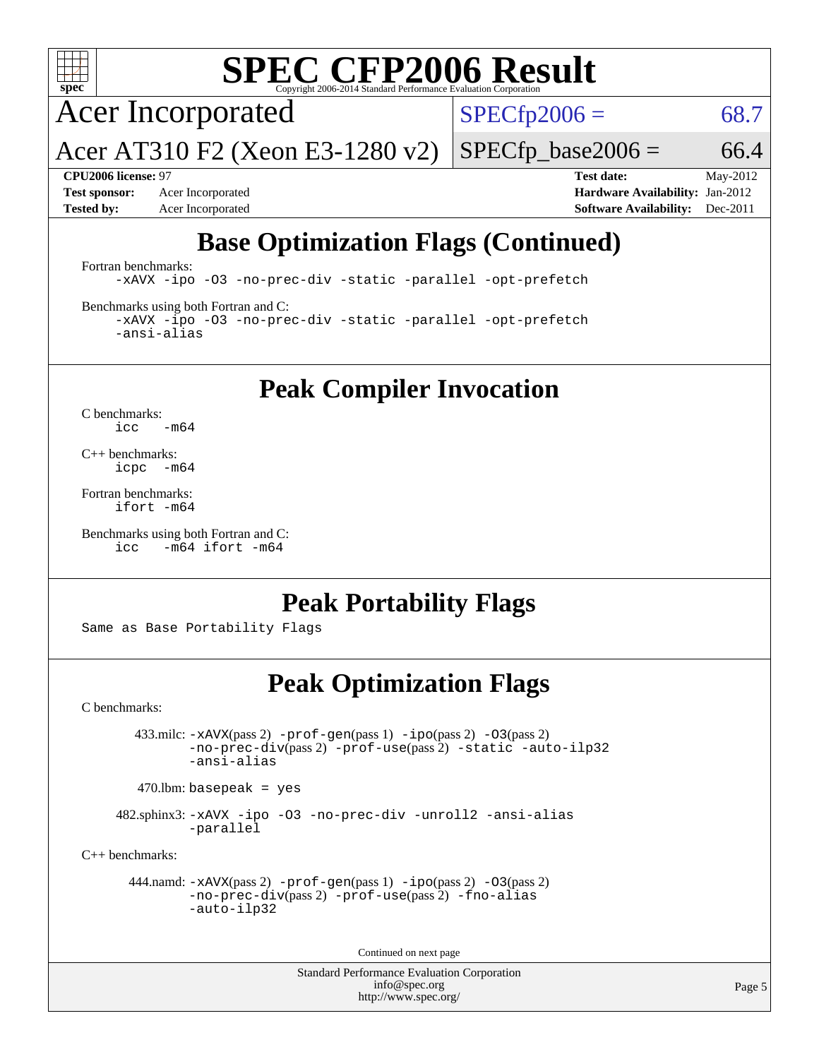

# **[SPEC CFP2006 Result](http://www.spec.org/auto/cpu2006/Docs/result-fields.html#SPECCFP2006Result)**

Acer Incorporated

 $SPECfp2006 = 68.7$  $SPECfp2006 = 68.7$ 

Acer AT310 F2 (Xeon E3-1280 v2)

 $SPECTp\_base2006 = 66.4$ 

**[Test sponsor:](http://www.spec.org/auto/cpu2006/Docs/result-fields.html#Testsponsor)** Acer Incorporated **[Hardware Availability:](http://www.spec.org/auto/cpu2006/Docs/result-fields.html#HardwareAvailability)** Jan-2012

**[CPU2006 license:](http://www.spec.org/auto/cpu2006/Docs/result-fields.html#CPU2006license)** 97 **[Test date:](http://www.spec.org/auto/cpu2006/Docs/result-fields.html#Testdate)** May-2012 **[Tested by:](http://www.spec.org/auto/cpu2006/Docs/result-fields.html#Testedby)** Acer Incorporated **[Software Availability:](http://www.spec.org/auto/cpu2006/Docs/result-fields.html#SoftwareAvailability)** Dec-2011

# **[Base Optimization Flags \(Continued\)](http://www.spec.org/auto/cpu2006/Docs/result-fields.html#BaseOptimizationFlags)**

[Fortran benchmarks](http://www.spec.org/auto/cpu2006/Docs/result-fields.html#Fortranbenchmarks):

[-xAVX](http://www.spec.org/cpu2006/results/res2012q3/cpu2006-20120611-22849.flags.html#user_FCbase_f-xAVX) [-ipo](http://www.spec.org/cpu2006/results/res2012q3/cpu2006-20120611-22849.flags.html#user_FCbase_f-ipo) [-O3](http://www.spec.org/cpu2006/results/res2012q3/cpu2006-20120611-22849.flags.html#user_FCbase_f-O3) [-no-prec-div](http://www.spec.org/cpu2006/results/res2012q3/cpu2006-20120611-22849.flags.html#user_FCbase_f-no-prec-div) [-static](http://www.spec.org/cpu2006/results/res2012q3/cpu2006-20120611-22849.flags.html#user_FCbase_f-static) [-parallel](http://www.spec.org/cpu2006/results/res2012q3/cpu2006-20120611-22849.flags.html#user_FCbase_f-parallel) [-opt-prefetch](http://www.spec.org/cpu2006/results/res2012q3/cpu2006-20120611-22849.flags.html#user_FCbase_f-opt-prefetch)

[Benchmarks using both Fortran and C](http://www.spec.org/auto/cpu2006/Docs/result-fields.html#BenchmarksusingbothFortranandC):

[-xAVX](http://www.spec.org/cpu2006/results/res2012q3/cpu2006-20120611-22849.flags.html#user_CC_FCbase_f-xAVX) [-ipo](http://www.spec.org/cpu2006/results/res2012q3/cpu2006-20120611-22849.flags.html#user_CC_FCbase_f-ipo) [-O3](http://www.spec.org/cpu2006/results/res2012q3/cpu2006-20120611-22849.flags.html#user_CC_FCbase_f-O3) [-no-prec-div](http://www.spec.org/cpu2006/results/res2012q3/cpu2006-20120611-22849.flags.html#user_CC_FCbase_f-no-prec-div) [-static](http://www.spec.org/cpu2006/results/res2012q3/cpu2006-20120611-22849.flags.html#user_CC_FCbase_f-static) [-parallel](http://www.spec.org/cpu2006/results/res2012q3/cpu2006-20120611-22849.flags.html#user_CC_FCbase_f-parallel) [-opt-prefetch](http://www.spec.org/cpu2006/results/res2012q3/cpu2006-20120611-22849.flags.html#user_CC_FCbase_f-opt-prefetch) [-ansi-alias](http://www.spec.org/cpu2006/results/res2012q3/cpu2006-20120611-22849.flags.html#user_CC_FCbase_f-ansi-alias)

**[Peak Compiler Invocation](http://www.spec.org/auto/cpu2006/Docs/result-fields.html#PeakCompilerInvocation)**

[C benchmarks](http://www.spec.org/auto/cpu2006/Docs/result-fields.html#Cbenchmarks):  $\text{icc}$  -m64

[C++ benchmarks:](http://www.spec.org/auto/cpu2006/Docs/result-fields.html#CXXbenchmarks) [icpc -m64](http://www.spec.org/cpu2006/results/res2012q3/cpu2006-20120611-22849.flags.html#user_CXXpeak_intel_icpc_64bit_bedb90c1146cab66620883ef4f41a67e)

[Fortran benchmarks](http://www.spec.org/auto/cpu2006/Docs/result-fields.html#Fortranbenchmarks): [ifort -m64](http://www.spec.org/cpu2006/results/res2012q3/cpu2006-20120611-22849.flags.html#user_FCpeak_intel_ifort_64bit_ee9d0fb25645d0210d97eb0527dcc06e)

[Benchmarks using both Fortran and C](http://www.spec.org/auto/cpu2006/Docs/result-fields.html#BenchmarksusingbothFortranandC): [icc -m64](http://www.spec.org/cpu2006/results/res2012q3/cpu2006-20120611-22849.flags.html#user_CC_FCpeak_intel_icc_64bit_0b7121f5ab7cfabee23d88897260401c) [ifort -m64](http://www.spec.org/cpu2006/results/res2012q3/cpu2006-20120611-22849.flags.html#user_CC_FCpeak_intel_ifort_64bit_ee9d0fb25645d0210d97eb0527dcc06e)

## **[Peak Portability Flags](http://www.spec.org/auto/cpu2006/Docs/result-fields.html#PeakPortabilityFlags)**

Same as Base Portability Flags

## **[Peak Optimization Flags](http://www.spec.org/auto/cpu2006/Docs/result-fields.html#PeakOptimizationFlags)**

[C benchmarks](http://www.spec.org/auto/cpu2006/Docs/result-fields.html#Cbenchmarks):

 433.milc: [-xAVX](http://www.spec.org/cpu2006/results/res2012q3/cpu2006-20120611-22849.flags.html#user_peakPASS2_CFLAGSPASS2_LDFLAGS433_milc_f-xAVX)(pass 2) [-prof-gen](http://www.spec.org/cpu2006/results/res2012q3/cpu2006-20120611-22849.flags.html#user_peakPASS1_CFLAGSPASS1_LDFLAGS433_milc_prof_gen_e43856698f6ca7b7e442dfd80e94a8fc)(pass 1) [-ipo](http://www.spec.org/cpu2006/results/res2012q3/cpu2006-20120611-22849.flags.html#user_peakPASS2_CFLAGSPASS2_LDFLAGS433_milc_f-ipo)(pass 2) [-O3](http://www.spec.org/cpu2006/results/res2012q3/cpu2006-20120611-22849.flags.html#user_peakPASS2_CFLAGSPASS2_LDFLAGS433_milc_f-O3)(pass 2) [-no-prec-div](http://www.spec.org/cpu2006/results/res2012q3/cpu2006-20120611-22849.flags.html#user_peakPASS2_CFLAGSPASS2_LDFLAGS433_milc_f-no-prec-div)(pass 2) [-prof-use](http://www.spec.org/cpu2006/results/res2012q3/cpu2006-20120611-22849.flags.html#user_peakPASS2_CFLAGSPASS2_LDFLAGS433_milc_prof_use_bccf7792157ff70d64e32fe3e1250b55)(pass 2) [-static](http://www.spec.org/cpu2006/results/res2012q3/cpu2006-20120611-22849.flags.html#user_peakOPTIMIZE433_milc_f-static) [-auto-ilp32](http://www.spec.org/cpu2006/results/res2012q3/cpu2006-20120611-22849.flags.html#user_peakCOPTIMIZE433_milc_f-auto-ilp32) [-ansi-alias](http://www.spec.org/cpu2006/results/res2012q3/cpu2006-20120611-22849.flags.html#user_peakCOPTIMIZE433_milc_f-ansi-alias)

 $470.$ lbm: basepeak = yes

 482.sphinx3: [-xAVX](http://www.spec.org/cpu2006/results/res2012q3/cpu2006-20120611-22849.flags.html#user_peakOPTIMIZE482_sphinx3_f-xAVX) [-ipo](http://www.spec.org/cpu2006/results/res2012q3/cpu2006-20120611-22849.flags.html#user_peakOPTIMIZE482_sphinx3_f-ipo) [-O3](http://www.spec.org/cpu2006/results/res2012q3/cpu2006-20120611-22849.flags.html#user_peakOPTIMIZE482_sphinx3_f-O3) [-no-prec-div](http://www.spec.org/cpu2006/results/res2012q3/cpu2006-20120611-22849.flags.html#user_peakOPTIMIZE482_sphinx3_f-no-prec-div) [-unroll2](http://www.spec.org/cpu2006/results/res2012q3/cpu2006-20120611-22849.flags.html#user_peakCOPTIMIZE482_sphinx3_f-unroll_784dae83bebfb236979b41d2422d7ec2) [-ansi-alias](http://www.spec.org/cpu2006/results/res2012q3/cpu2006-20120611-22849.flags.html#user_peakCOPTIMIZE482_sphinx3_f-ansi-alias) [-parallel](http://www.spec.org/cpu2006/results/res2012q3/cpu2006-20120611-22849.flags.html#user_peakCOPTIMIZE482_sphinx3_f-parallel)

[C++ benchmarks:](http://www.spec.org/auto/cpu2006/Docs/result-fields.html#CXXbenchmarks)

```
 444.namd: -xAVX(pass 2) -prof-gen(pass 1) -ipo(pass 2) -O3(pass 2)
-no-prec-div(pass 2) -prof-use(pass 2) -fno-alias
-auto-ilp32
```
Continued on next page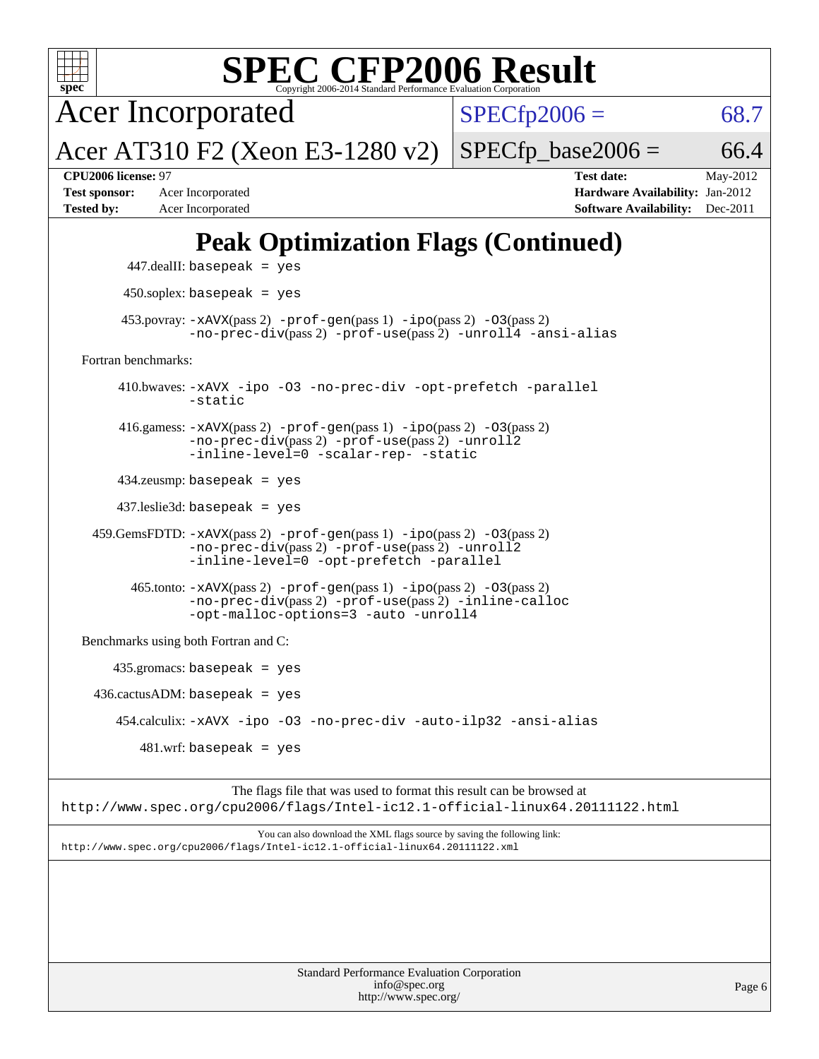| <b>SPEC CFP2006 Result</b><br>spec <sup>®</sup><br>Copyright 2006-2014 Standard Performance Evaluation Corporation                                                     |                                                                                                                 |
|------------------------------------------------------------------------------------------------------------------------------------------------------------------------|-----------------------------------------------------------------------------------------------------------------|
| <b>Acer Incorporated</b>                                                                                                                                               | $SPECfp2006 =$<br>68.7                                                                                          |
| Acer AT310 F2 (Xeon E3-1280 v2)                                                                                                                                        | 66.4<br>$SPECfp\_base2006 =$                                                                                    |
| CPU2006 license: 97<br><b>Test sponsor:</b><br>Acer Incorporated<br><b>Tested by:</b><br>Acer Incorporated                                                             | <b>Test date:</b><br>May-2012<br>Hardware Availability: Jan-2012<br><b>Software Availability:</b><br>$Dec-2011$ |
| <b>Peak Optimization Flags (Continued)</b>                                                                                                                             |                                                                                                                 |
| $447$ .dealII: basepeak = yes                                                                                                                                          |                                                                                                                 |
| $450$ .soplex: basepeak = yes                                                                                                                                          |                                                                                                                 |
| $453.$ povray: $-xAVX(pass 2)$ -prof-gen(pass 1) -ipo(pass 2) -03(pass 2)<br>-no-prec-div(pass 2) -prof-use(pass 2) -unroll4 -ansi-alias                               |                                                                                                                 |
| Fortran benchmarks:                                                                                                                                                    |                                                                                                                 |
| 410.bwaves: -xAVX -ipo -03 -no-prec-div -opt-prefetch -parallel<br>-static                                                                                             |                                                                                                                 |
| 416.gamess: $-xAVX(pass 2)$ -prof-gen(pass 1) -ipo(pass 2) -03(pass 2)<br>-no-prec-div(pass 2) -prof-use(pass 2) -unroll2<br>-inline-level=0 -scalar-rep- -static      |                                                                                                                 |
| $434$ .zeusmp: basepeak = yes                                                                                                                                          |                                                                                                                 |
| $437$ .leslie $3d$ : basepeak = yes                                                                                                                                    |                                                                                                                 |
| $459.GemsFDTD: -xAVX(pass 2) -prof-gen(pass 1) -ipo(pass 2) -O3(pass 2)$<br>-no-prec-div(pass 2) -prof-use(pass 2) -unroll2<br>-inline-level=0 -opt-prefetch -parallel |                                                                                                                 |
| 465.tonto: -xAVX(pass 2) -prof-gen(pass 1) -ipo(pass 2) -03(pass 2)<br>-no-prec-div(pass 2) -prof-use(pass 2) -inline-calloc<br>-opt-malloc-options=3 -auto -unroll4   |                                                                                                                 |
| Benchmarks using both Fortran and C:                                                                                                                                   |                                                                                                                 |
| $435.gromacs: basepeak = yes$                                                                                                                                          |                                                                                                                 |
| $436.cactusADM:basepeak = yes$                                                                                                                                         |                                                                                                                 |
| 454.calculix: -xAVX -ipo -03 -no-prec-div -auto-ilp32 -ansi-alias                                                                                                      |                                                                                                                 |
| $481.wrf$ : basepeak = yes                                                                                                                                             |                                                                                                                 |
| The flags file that was used to format this result can be browsed at<br>http://www.spec.org/cpu2006/flags/Intel-ic12.1-official-linux64.20111122.html                  |                                                                                                                 |
| You can also download the XML flags source by saving the following link:<br>http://www.spec.org/cpu2006/flags/Intel-ic12.1-official-linux64.20111122.xml               |                                                                                                                 |
|                                                                                                                                                                        |                                                                                                                 |
| <b>Standard Performance Evaluation Corporation</b><br>info@spec.org<br>http://www.spec.org/                                                                            | Page 6                                                                                                          |